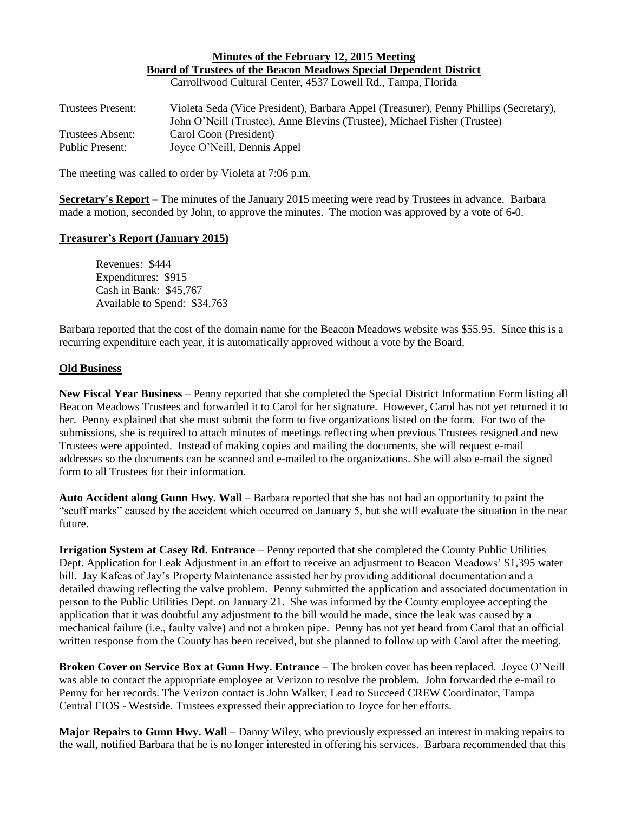# **Minutes of the February 12, 2015 Meeting Board of Trustees of the Beacon Meadows Special Dependent District**

Carrollwood Cultural Center, 4537 Lowell Rd., Tampa, Florida

| <b>Trustees Present:</b> | Violeta Seda (Vice President), Barbara Appel (Treasurer), Penny Phillips (Secretary), |
|--------------------------|---------------------------------------------------------------------------------------|
|                          | John O'Neill (Trustee), Anne Blevins (Trustee), Michael Fisher (Trustee)              |
| Trustees Absent:         | Carol Coon (President)                                                                |
| Public Present:          | Joyce O'Neill, Dennis Appel                                                           |

The meeting was called to order by Violeta at 7:06 p.m.

**Secretary's Report** – The minutes of the January 2015 meeting were read by Trustees in advance. Barbara made a motion, seconded by John, to approve the minutes. The motion was approved by a vote of 6-0.

### **Treasurer's Report (January 2015)**

Revenues: \$444 Expenditures: \$915 Cash in Bank: \$45,767 Available to Spend: \$34,763

Barbara reported that the cost of the domain name for the Beacon Meadows website was \$55.95. Since this is a recurring expenditure each year, it is automatically approved without a vote by the Board.

#### **Old Business**

**New Fiscal Year Business** – Penny reported that she completed the Special District Information Form listing all Beacon Meadows Trustees and forwarded it to Carol for her signature. However, Carol has not yet returned it to her. Penny explained that she must submit the form to five organizations listed on the form. For two of the submissions, she is required to attach minutes of meetings reflecting when previous Trustees resigned and new Trustees were appointed. Instead of making copies and mailing the documents, she will request e-mail addresses so the documents can be scanned and e-mailed to the organizations. She will also e-mail the signed form to all Trustees for their information.

**Auto Accident along Gunn Hwy. Wall** – Barbara reported that she has not had an opportunity to paint the "scuff marks" caused by the accident which occurred on January 5, but she will evaluate the situation in the near future.

**Irrigation System at Casey Rd. Entrance** – Penny reported that she completed the County Public Utilities Dept. Application for Leak Adjustment in an effort to receive an adjustment to Beacon Meadows' \$1,395 water bill. Jay Kafcas of Jay's Property Maintenance assisted her by providing additional documentation and a detailed drawing reflecting the valve problem. Penny submitted the application and associated documentation in person to the Public Utilities Dept. on January 21. She was informed by the County employee accepting the application that it was doubtful any adjustment to the bill would be made, since the leak was caused by a mechanical failure (i.e., faulty valve) and not a broken pipe. Penny has not yet heard from Carol that an official written response from the County has been received, but she planned to follow up with Carol after the meeting.

**Broken Cover on Service Box at Gunn Hwy. Entrance** – The broken cover has been replaced. Joyce O'Neill was able to contact the appropriate employee at Verizon to resolve the problem. John forwarded the e-mail to Penny for her records. The Verizon contact is John Walker, Lead to Succeed CREW Coordinator, Tampa Central FIOS - Westside. Trustees expressed their appreciation to Joyce for her efforts.

**Major Repairs to Gunn Hwy. Wall** – Danny Wiley, who previously expressed an interest in making repairs to the wall, notified Barbara that he is no longer interested in offering his services. Barbara recommended that this